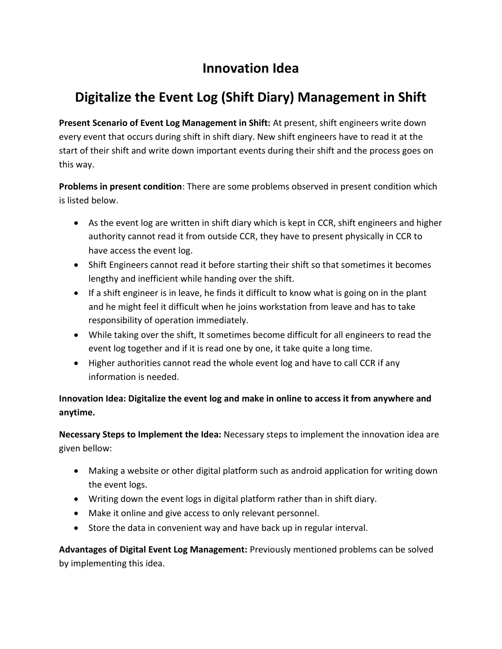## **Innovation Idea**

## **Digitalize the Event Log (Shift Diary) Management in Shift**

**Present Scenario of Event Log Management in Shift:** At present, shift engineers write down every event that occurs during shift in shift diary. New shift engineers have to read it at the start of their shift and write down important events during their shift and the process goes on this way.

**Problems in present condition**: There are some problems observed in present condition which is listed below.

- As the event log are written in shift diary which is kept in CCR, shift engineers and higher authority cannot read it from outside CCR, they have to present physically in CCR to have access the event log.
- Shift Engineers cannot read it before starting their shift so that sometimes it becomes lengthy and inefficient while handing over the shift.
- If a shift engineer is in leave, he finds it difficult to know what is going on in the plant and he might feel it difficult when he joins workstation from leave and has to take responsibility of operation immediately.
- While taking over the shift, It sometimes become difficult for all engineers to read the event log together and if it is read one by one, it take quite a long time.
- Higher authorities cannot read the whole event log and have to call CCR if any information is needed.

## **Innovation Idea: Digitalize the event log and make in online to access it from anywhere and anytime.**

**Necessary Steps to Implement the Idea:** Necessary steps to implement the innovation idea are given bellow:

- Making a website or other digital platform such as android application for writing down the event logs.
- Writing down the event logs in digital platform rather than in shift diary.
- Make it online and give access to only relevant personnel.
- Store the data in convenient way and have back up in regular interval.

**Advantages of Digital Event Log Management:** Previously mentioned problems can be solved by implementing this idea.